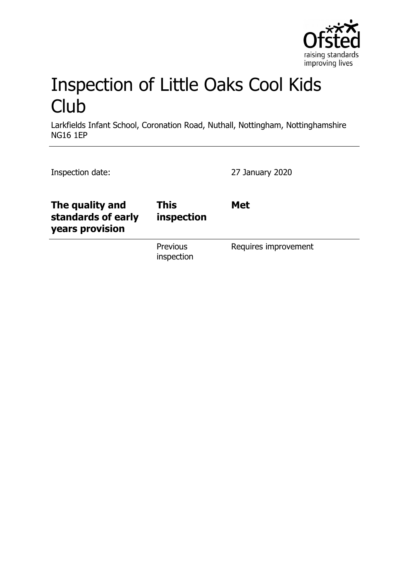

# Inspection of Little Oaks Cool Kids **Club**

Larkfields Infant School, Coronation Road, Nuthall, Nottingham, Nottinghamshire NG16 1EP

| Inspection date:                                         |                           | 27 January 2020      |
|----------------------------------------------------------|---------------------------|----------------------|
| The quality and<br>standards of early<br>years provision | <b>This</b><br>inspection | <b>Met</b>           |
|                                                          | Previous<br>inspection    | Requires improvement |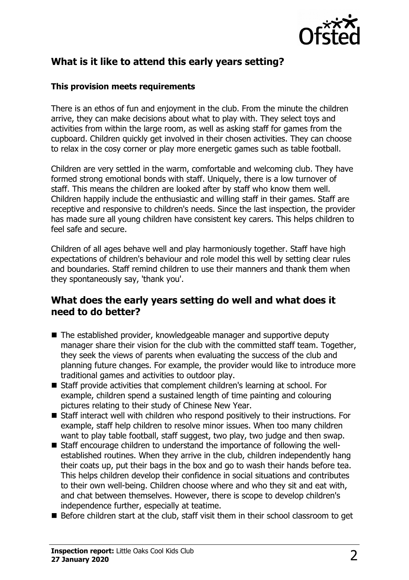

# **What is it like to attend this early years setting?**

### **This provision meets requirements**

There is an ethos of fun and enjoyment in the club. From the minute the children arrive, they can make decisions about what to play with. They select toys and activities from within the large room, as well as asking staff for games from the cupboard. Children quickly get involved in their chosen activities. They can choose to relax in the cosy corner or play more energetic games such as table football.

Children are very settled in the warm, comfortable and welcoming club. They have formed strong emotional bonds with staff. Uniquely, there is a low turnover of staff. This means the children are looked after by staff who know them well. Children happily include the enthusiastic and willing staff in their games. Staff are receptive and responsive to children's needs. Since the last inspection, the provider has made sure all young children have consistent key carers. This helps children to feel safe and secure.

Children of all ages behave well and play harmoniously together. Staff have high expectations of children's behaviour and role model this well by setting clear rules and boundaries. Staff remind children to use their manners and thank them when they spontaneously say, 'thank you'.

## **What does the early years setting do well and what does it need to do better?**

- $\blacksquare$  The established provider, knowledgeable manager and supportive deputy manager share their vision for the club with the committed staff team. Together, they seek the views of parents when evaluating the success of the club and planning future changes. For example, the provider would like to introduce more traditional games and activities to outdoor play.
- $\blacksquare$  Staff provide activities that complement children's learning at school. For example, children spend a sustained length of time painting and colouring pictures relating to their study of Chinese New Year.
- Staff interact well with children who respond positively to their instructions. For example, staff help children to resolve minor issues. When too many children want to play table football, staff suggest, two play, two judge and then swap.
- Staff encourage children to understand the importance of following the wellestablished routines. When they arrive in the club, children independently hang their coats up, put their bags in the box and go to wash their hands before tea. This helps children develop their confidence in social situations and contributes to their own well-being. Children choose where and who they sit and eat with, and chat between themselves. However, there is scope to develop children's independence further, especially at teatime.
- $\blacksquare$  Before children start at the club, staff visit them in their school classroom to get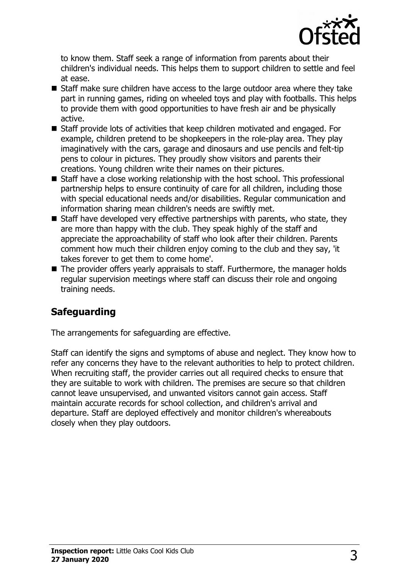

to know them. Staff seek a range of information from parents about their children's individual needs. This helps them to support children to settle and feel at ease.

- $\blacksquare$  Staff make sure children have access to the large outdoor area where they take part in running games, riding on wheeled toys and play with footballs. This helps to provide them with good opportunities to have fresh air and be physically active.
- $\blacksquare$  Staff provide lots of activities that keep children motivated and engaged. For example, children pretend to be shopkeepers in the role-play area. They play imaginatively with the cars, garage and dinosaurs and use pencils and felt-tip pens to colour in pictures. They proudly show visitors and parents their creations. Young children write their names on their pictures.
- $\blacksquare$  Staff have a close working relationship with the host school. This professional partnership helps to ensure continuity of care for all children, including those with special educational needs and/or disabilities. Regular communication and information sharing mean children's needs are swiftly met.
- $\blacksquare$  Staff have developed very effective partnerships with parents, who state, they are more than happy with the club. They speak highly of the staff and appreciate the approachability of staff who look after their children. Parents comment how much their children enjoy coming to the club and they say, 'it takes forever to get them to come home'.
- $\blacksquare$  The provider offers yearly appraisals to staff. Furthermore, the manager holds regular supervision meetings where staff can discuss their role and ongoing training needs.

# **Safeguarding**

The arrangements for safeguarding are effective.

Staff can identify the signs and symptoms of abuse and neglect. They know how to refer any concerns they have to the relevant authorities to help to protect children. When recruiting staff, the provider carries out all required checks to ensure that they are suitable to work with children. The premises are secure so that children cannot leave unsupervised, and unwanted visitors cannot gain access. Staff maintain accurate records for school collection, and children's arrival and departure. Staff are deployed effectively and monitor children's whereabouts closely when they play outdoors.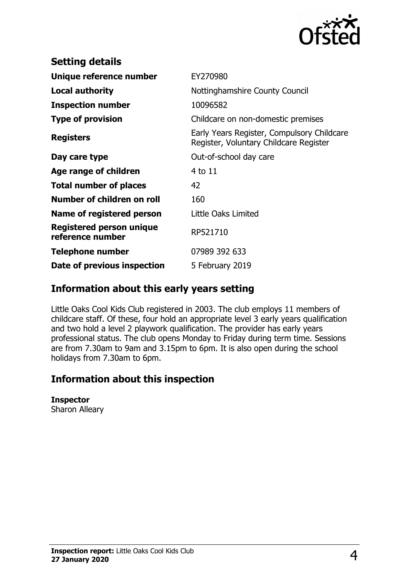

| EY270980                                                                             |
|--------------------------------------------------------------------------------------|
| Nottinghamshire County Council                                                       |
| 10096582                                                                             |
| Childcare on non-domestic premises                                                   |
| Early Years Register, Compulsory Childcare<br>Register, Voluntary Childcare Register |
| Out-of-school day care                                                               |
| 4 to 11                                                                              |
| 42                                                                                   |
| 160                                                                                  |
| Little Oaks Limited                                                                  |
| RP521710                                                                             |
| 07989 392 633                                                                        |
| 5 February 2019                                                                      |
|                                                                                      |

# **Information about this early years setting**

Little Oaks Cool Kids Club registered in 2003. The club employs 11 members of childcare staff. Of these, four hold an appropriate level 3 early years qualification and two hold a level 2 playwork qualification. The provider has early years professional status. The club opens Monday to Friday during term time. Sessions are from 7.30am to 9am and 3.15pm to 6pm. It is also open during the school holidays from 7.30am to 6pm.

## **Information about this inspection**

#### **Inspector**

Sharon Alleary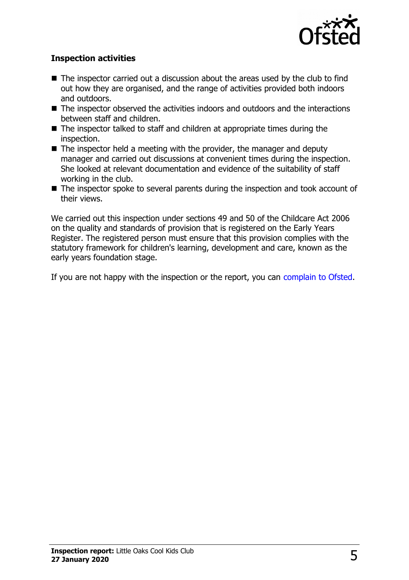

## **Inspection activities**

- $\blacksquare$  The inspector carried out a discussion about the areas used by the club to find out how they are organised, and the range of activities provided both indoors and outdoors.
- $\blacksquare$  The inspector observed the activities indoors and outdoors and the interactions between staff and children.
- $\blacksquare$  The inspector talked to staff and children at appropriate times during the inspection.
- $\blacksquare$  The inspector held a meeting with the provider, the manager and deputy manager and carried out discussions at convenient times during the inspection. She looked at relevant documentation and evidence of the suitability of staff working in the club.
- $\blacksquare$  The inspector spoke to several parents during the inspection and took account of their views.

We carried out this inspection under sections 49 and 50 of the Childcare Act 2006 on the quality and standards of provision that is registered on the Early Years Register. The registered person must ensure that this provision complies with the statutory framework for children's learning, development and care, known as the early years foundation stage.

If you are not happy with the inspection or the report, you can [complain to Ofsted.](http://www.gov.uk/complain-ofsted-report)